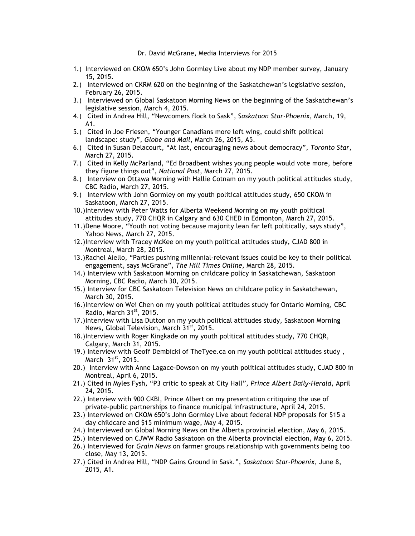## Dr. David McGrane, Media Interviews for 2015

- 1.) Interviewed on CKOM 650's John Gormley Live about my NDP member survey, January 15, 2015.
- 2.) Interviewed on CKRM 620 on the beginning of the Saskatchewan's legislative session, February 26, 2015.
- 3.) Interviewed on Global Saskatoon Morning News on the beginning of the Saskatchewan's legislative session, March 4, 2015.
- 4.) Cited in Andrea Hill, "Newcomers flock to Sask", S*askatoon Star-Phoenix*, March, 19, A1.
- 5.) Cited in Joe Friesen, "Younger Canadians more left wing, could shift political landscape: study", *Globe and Mail*, March 26, 2015, A5.
- 6.) Cited in Susan Delacourt, "At last, encouraging news about democracy", *Toronto Star*, March 27, 2015.
- 7.) Cited in Kelly McParland, "Ed Broadbent wishes young people would vote more, before they figure things out", *National Post*, March 27, 2015.
- 8.) Interview on Ottawa Morning with Hallie Cotnam on my youth political attitudes study, CBC Radio, March 27, 2015.
- 9.) Interview with John Gormley on my youth political attitudes study, 650 CKOM in Saskatoon, March 27, 2015.
- 10.)Interview with Peter Watts for Alberta Weekend Morning on my youth political attitudes study, 770 CHQR in Calgary and 630 CHED in Edmonton, March 27, 2015.
- 11.)Dene Moore, "Youth not voting because majority lean far left politically, says study", Yahoo News, March 27, 2015.
- 12.)Interview with Tracey McKee on my youth political attitudes study, CJAD 800 in Montreal, March 28, 2015.
- 13.)Rachel Aiello, "Parties pushing millennial-relevant issues could be key to their political engagement, says McGrane", *The Hill Times Online*, March 28, 2015.
- 14.) Interview with Saskatoon Morning on childcare policy in Saskatchewan, Saskatoon Morning, CBC Radio, March 30, 2015.
- 15.) Interview for CBC Saskatoon Television News on childcare policy in Saskatchewan, March 30, 2015.
- 16.)Interview on Wei Chen on my youth political attitudes study for Ontario Morning, CBC Radio, March  $31<sup>st</sup>$ , 2015.
- 17.)Interview with Lisa Dutton on my youth political attitudes study, Saskatoon Morning News, Global Television, March  $31^{st}$ , 2015.
- 18.)Interview with Roger Kingkade on my youth political attitudes study, 770 CHQR, Calgary, March 31, 2015.
- 19.) Interview with Geoff Dembicki of TheTyee.ca on my youth political attitudes study , March  $31<sup>st</sup>$ , 2015.
- 20.) Interview with Anne Lagace-Dowson on my youth political attitudes study, CJAD 800 in Montreal, April 6, 2015.
- 21.) Cited in Myles Fysh, "P3 critic to speak at City Hall", *Prince Albert Daily-Herald*, April 24, 2015.
- 22.) Interview with 900 CKBI, Prince Albert on my presentation critiquing the use of private-public partnerships to finance municipal infrastructure, April 24, 2015.
- 23.) Interviewed on CKOM 650's John Gormley Live about federal NDP proposals for \$15 a day childcare and \$15 minimum wage, May 4, 2015.
- 24.) Interviewed on Global Morning News on the Alberta provincial election, May 6, 2015.
- 25.) Interviewed on CJWW Radio Saskatoon on the Alberta provincial election, May 6, 2015.
- 26.) Interviewed for *Grain News* on farmer groups relationship with governments being too close, May 13, 2015.
- 27.) Cited in Andrea Hill, "NDP Gains Ground in Sask.", *Saskatoon Star-Phoenix*, June 8, 2015, A1.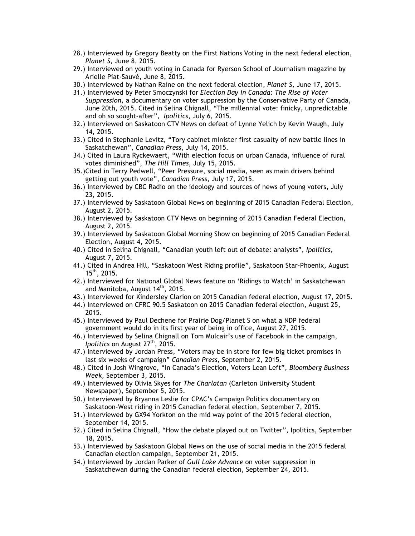- 28.) Interviewed by Gregory Beatty on the First Nations Voting in the next federal election, *Planet S*, June 8, 2015.
- 29.) Interviewed on youth voting in Canada for Ryerson School of Journalism magazine by Arielle Piat-Sauvé, June 8, 2015.
- 30.) Interviewed by Nathan Raine on the next federal election, *Planet S*, June 17, 2015.
- 31.) Interviewed by Peter Smoczynski for *Election Day in Canada: The Rise of Voter Suppression*, a documentary on voter suppression by the Conservative Party of Canada, June 20th, 2015. Cited in Selina Chignall, "The millennial vote: finicky, unpredictable and oh so sought-after", *Ipolitics*, July 6, 2015.
- 32.) Interviewed on Saskatoon CTV News on defeat of Lynne Yelich by Kevin Waugh, July 14, 2015.
- 33.) Cited in Stephanie Levitz, "Tory cabinet minister first casualty of new battle lines in Saskatchewan", *Canadian Press*, July 14, 2015.
- 34.) Cited in Laura Ryckewaert, "With election focus on urban Canada, influence of rural votes diminished", *The Hill Times*, July 15, 2015.
- 35.)Cited in Terry Pedwell, "Peer Pressure, social media, seen as main drivers behind getting out youth vote", *Canadian Press*, July 17, 2015.
- 36.) Interviewed by CBC Radio on the ideology and sources of news of young voters, July 23, 2015.
- 37.) Interviewed by Saskatoon Global News on beginning of 2015 Canadian Federal Election, August 2, 2015.
- 38.) Interviewed by Saskatoon CTV News on beginning of 2015 Canadian Federal Election, August 2, 2015.
- 39.) Interviewed by Saskatoon Global Morning Show on beginning of 2015 Canadian Federal Election, August 4, 2015.
- 40.) Cited in Selina Chignall, "Canadian youth left out of debate: analysts", *Ipolitics*, August 7, 2015.
- 41.) Cited in Andrea Hill, "Saskatoon West Riding profile", Saskatoon Star-Phoenix, August  $15^{th}$ , 2015.
- 42.) Interviewed for National Global News feature on 'Ridings to Watch' in Saskatchewan and Manitoba, August 14<sup>th</sup>, 2015.
- 43.) Interviewed for Kindersley Clarion on 2015 Canadian federal election, August 17, 2015.
- 44.) Interviewed on CFRC 90.5 Saskatoon on 2015 Canadian federal election, August 25, 2015.
- 45.) Interviewed by Paul Dechene for Prairie Dog/Planet S on what a NDP federal government would do in its first year of being in office, August 27, 2015.
- 46.) Interviewed by Selina Chignall on Tom Mulcair's use of Facebook in the campaign, *Ipolitics* on August 27<sup>th</sup>, 2015.
- 47.) Interviewed by Jordan Press, "Voters may be in store for few big ticket promises in last six weeks of campaign" *Canadian Press*, September 2, 2015.
- 48.) Cited in Josh Wingrove, "In Canada's Election, Voters Lean Left", *Bloomberg Business Week*, September 3, 2015.
- 49.) Interviewed by Olivia Skyes for *The Charlatan* (Carleton University Student Newspaper), September 5, 2015.
- 50.) Interviewed by Bryanna Leslie for CPAC's Campaign Politics documentary on Saskatoon-West riding in 2015 Canadian federal election, September 7, 2015.
- 51.) Interviewed by GX94 Yorkton on the mid way point of the 2015 federal election, September 14, 2015.
- 52.) Cited in Selina Chignall, "How the debate played out on Twitter", Ipolitics, September 18, 2015.
- 53.) Interviewed by Saskatoon Global News on the use of social media in the 2015 federal Canadian election campaign, September 21, 2015.
- 54.) Interviewed by Jordan Parker of *Gull Lake Advance* on voter suppression in Saskatchewan during the Canadian federal election, September 24, 2015.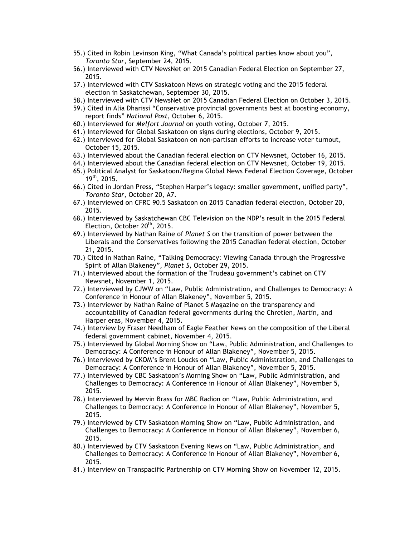- 55.) Cited in Robin Levinson King, "What Canada's political parties know about you", *Toronto Star*, September 24, 2015.
- 56.) Interviewed with CTV NewsNet on 2015 Canadian Federal Election on September 27, 2015.
- 57.) Interviewed with CTV Saskatoon News on strategic voting and the 2015 federal election in Saskatchewan, September 30, 2015.
- 58.) Interviewed with CTV NewsNet on 2015 Canadian Federal Election on October 3, 2015.
- 59.) Cited in Alia Dharissi "Conservative provincial governments best at boosting economy, report finds" *National Post*, October 6, 2015.
- 60.) Interviewed for *Melfort Journal* on youth voting, October 7, 2015.
- 61.) Interviewed for Global Saskatoon on signs during elections, October 9, 2015.
- 62.) Interviewed for Global Saskatoon on non-partisan efforts to increase voter turnout, October 15, 2015.
- 63.) Interviewed about the Canadian federal election on CTV Newsnet, October 16, 2015.
- 64.) Interviewed about the Canadian federal election on CTV Newsnet, October 19, 2015.
- 65.) Political Analyst for Saskatoon/Regina Global News Federal Election Coverage, October 19th, 2015.
- 66.) Cited in Jordan Press, "Stephen Harper's legacy: smaller government, unified party", *Toronto Star*, October 20, A7.
- 67.) Interviewed on CFRC 90.5 Saskatoon on 2015 Canadian federal election, October 20, 2015.
- 68.) Interviewed by Saskatchewan CBC Television on the NDP's result in the 2015 Federal Election, October 20<sup>th</sup>, 2015.
- 69.) Interviewed by Nathan Raine of *Planet S* on the transition of power between the Liberals and the Conservatives following the 2015 Canadian federal election, October 21, 2015.
- 70.) Cited in Nathan Raine, "Talking Democracy: Viewing Canada through the Progressive Spirit of Allan Blakeney", *Planet S*, October 29, 2015.
- 71.) Interviewed about the formation of the Trudeau government's cabinet on CTV Newsnet, November 1, 2015.
- 72.) Interviewed by CJWW on "Law, Public Administration, and Challenges to Democracy: A Conference in Honour of Allan Blakeney", November 5, 2015.
- 73.) Interviewer by Nathan Raine of Planet S Magazine on the transparency and accountability of Canadian federal governments during the Chretien, Martin, and Harper eras, November 4, 2015.
- 74.) Interview by Fraser Needham of Eagle Feather News on the composition of the Liberal federal government cabinet, November 4, 2015.
- 75.) Interviewed by Global Morning Show on "Law, Public Administration, and Challenges to Democracy: A Conference in Honour of Allan Blakeney", November 5, 2015.
- 76.) Interviewed by CKOM's Brent Loucks on "Law, Public Administration, and Challenges to Democracy: A Conference in Honour of Allan Blakeney", November 5, 2015.
- 77.) Interviewed by CBC Saskatoon's Morning Show on "Law, Public Administration, and Challenges to Democracy: A Conference in Honour of Allan Blakeney", November 5, 2015.
- 78.) Interviewed by Mervin Brass for MBC Radion on "Law, Public Administration, and Challenges to Democracy: A Conference in Honour of Allan Blakeney", November 5, 2015.
- 79.) Interviewed by CTV Saskatoon Morning Show on "Law, Public Administration, and Challenges to Democracy: A Conference in Honour of Allan Blakeney", November 6, 2015.
- 80.) Interviewed by CTV Saskatoon Evening News on "Law, Public Administration, and Challenges to Democracy: A Conference in Honour of Allan Blakeney", November 6, 2015.
- 81.) Interview on Transpacific Partnership on CTV Morning Show on November 12, 2015.